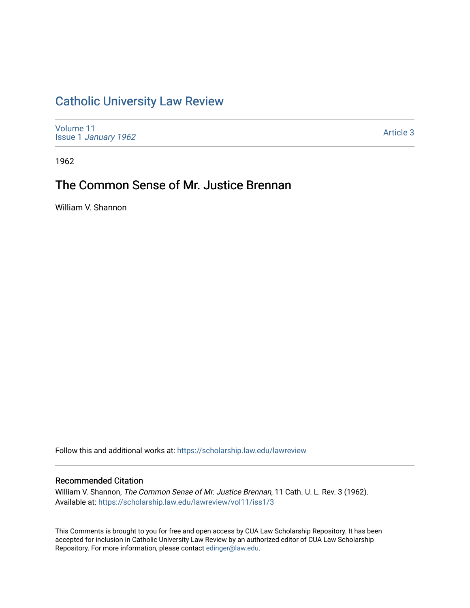## [Catholic University Law Review](https://scholarship.law.edu/lawreview)

[Volume 11](https://scholarship.law.edu/lawreview/vol11) Issue 1 [January 1962](https://scholarship.law.edu/lawreview/vol11/iss1)

[Article 3](https://scholarship.law.edu/lawreview/vol11/iss1/3) 

1962

# The Common Sense of Mr. Justice Brennan

William V. Shannon

Follow this and additional works at: [https://scholarship.law.edu/lawreview](https://scholarship.law.edu/lawreview?utm_source=scholarship.law.edu%2Flawreview%2Fvol11%2Fiss1%2F3&utm_medium=PDF&utm_campaign=PDFCoverPages)

### Recommended Citation

William V. Shannon, The Common Sense of Mr. Justice Brennan, 11 Cath. U. L. Rev. 3 (1962). Available at: [https://scholarship.law.edu/lawreview/vol11/iss1/3](https://scholarship.law.edu/lawreview/vol11/iss1/3?utm_source=scholarship.law.edu%2Flawreview%2Fvol11%2Fiss1%2F3&utm_medium=PDF&utm_campaign=PDFCoverPages)

This Comments is brought to you for free and open access by CUA Law Scholarship Repository. It has been accepted for inclusion in Catholic University Law Review by an authorized editor of CUA Law Scholarship Repository. For more information, please contact [edinger@law.edu.](mailto:edinger@law.edu)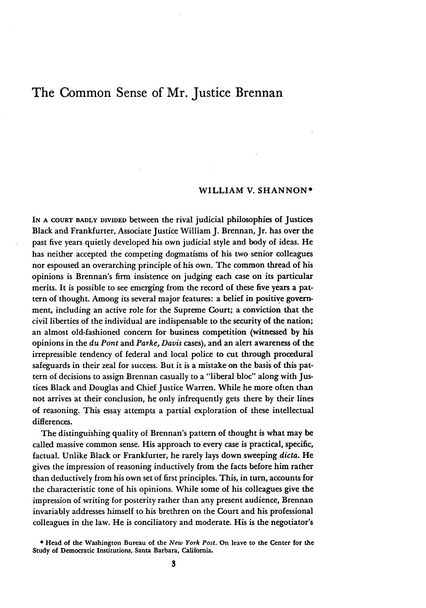## The Common Sense of Mr. Justice Brennan

### WILLIAM V. **SHANNON\***

**IN A COURT** BADLY **DIVIDED** between the rival judicial philosophies of Justices Black and Frankfurter, Associate Justice William J. Brennan, Jr. has over the past five years quietly developed his own judicial style and body of ideas. He has neither accepted the competing dogmatisms of his two senior colleagues nor espoused an overarching principle of his own. The common thread of his opinions is Brennan's firm insistence on judging each case on its particular merits. It is possible to see emerging from the record of these five years a pattern of thought. Among its several major features: a belief in positive government, including an active role for the Supreme Court; a conviction that the civil liberties of the individual are indispensable to the security of the nation; an almost old-fashioned concern for business competition (witnessed by his opinions in the *du Pont* and *Parke, Davis* cases), and an alert awareness of the irrepressible tendency of federal and local police to cut through procedural safeguards in their zeal for success. But it is a mistake on the basis of this pattern of decisions to assign Brennan casually to a "liberal bloc" along with Justices Black and Douglas and Chief Justice Warren. While he more often than not arrives at their conclusion, he only infrequently gets there by their lines of reasoning. This essay attempts a partial exploration of these intellectual differences.

The distinguishing quality of Brennan's pattern of thought is what may be called massive common sense. His approach to every case is practical, specific, factual. Unlike Black or Frankfurter, he rarely lays down sweeping *dicta.* He gives the impression of reasoning inductively from the facts before him rather than deductively from his own set of first principles. This, in turn, accounts for the characteristic tone of his opinions. While some of his colleagues give the impression of writing for posterity rather than any present audience, Brennan invariably addresses himself to his brethren on the Court and his professional colleagues in the law. He is conciliatory and moderate. His is the negotiator's

<sup>\*</sup> Head of the Washington Bureau of the *New York Post.* On leave to the Center for the Study of Democratic Institutions, Santa Barbara, California.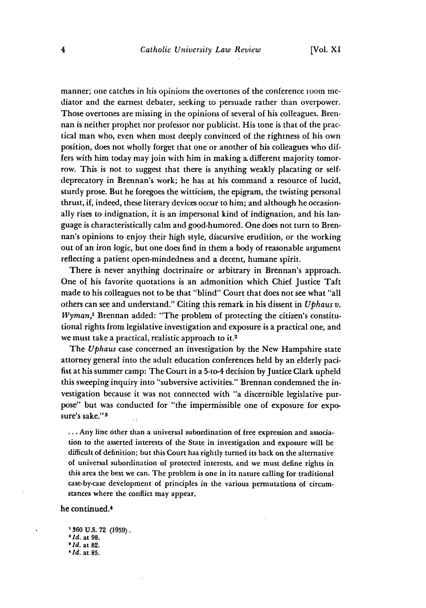manner; one catches in his opinions the overtones of the conference room mediator and the earnest debater, seeking to persuade rather than overpower. Those overtones are missing in the opinions of several of his colleagues. Brennan is neither prophet nor professor nor publicist. His tone is that of the practical man who, even when most deeply convinced of the rightness of his own position, does not wholly forget that one or another of his colleagues who differs with him today may join with him in making a different majority tomorrow. This is not to suggest that there is anything weakly placating or selfdeprecatory in Brennan's work; he has at his command a resource of lucid, sturdy prose. But he foregoes the witticism, the epigram, the twisting personal thrust, if, indeed, these literary devices occur to him; and although he occasionally rises to indignation, it is an impersonal kind of indignation, and his language is characteristically calm arid good-humored. One does not turn to Brennan's opinions to enjoy their high style, discursive erudition, or the working out of an iron logic, but one does find in them a body of reasonable argument reflecting a patient open-mindedness and a decent, humane spirit.

There is never anything doctrinaire or arbitrary in Brennan's approach. One of his favorite quotations is an admonition which Chief Justice Taft made to his colleagues not to be that "blind" Court that does not see what "all others can see and understand." Citing this remark in his dissent in *Uphaus v. Wyman,<sup>1</sup>*Brennan added: "The problem of protecting the citizen's constitutional rights from legislative investigation and exposure is a practical one, and we must take a practical, realistic approach to it.2

The *Uphaus* case concerned an investigation by the New Hampshire state attorney general into the adult education conferences held by an elderly pacifist at his summer camp: The Court in a 5-to-4 decision by Justice Clark upheld this sweeping inquiry into "subversive activities." Brennan condemned the investigation because it was not connected with "a discernible legislative purpose" but was conducted for "the impermissible one of exposure for exposure's sake."<sup>3</sup>

**...** Any line other than a universal subordination of free expression and association to the asserted interests of the State in investigation and exposure will be difficult of definition; but this Court has rightly turned its back on the alternative of universal subordination of protected interests, and we must define rights in this area the best we can. The problem is one in its nature calling for traditional case-by-case development of principles in the various permutations of circumstances where the conflict may appear,

#### he continued.<sup>4</sup>

**1360 U.S. 72 (1959).** *<sup>2</sup> Id.* at **98.** *8 Id.* at **82.** *'Id.* at **85.**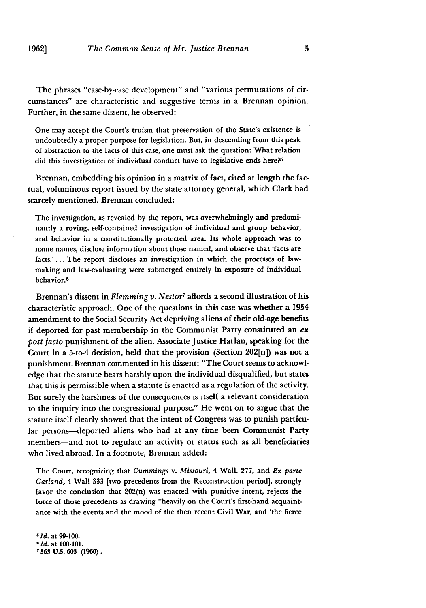**1962]**

The phrases "case-by-case development" and "various permutations of circumstances" are characteristic and suggestive terms in a Brennan opinion. Further, in the same dissent, he observed:

One may accept the Court's truism that preservation of the State's existence is undoubtedly a proper purpose for legislation. **But,** in descending from this peak of abstraction to the facts of this case, one must ask the question: What relation did this investigation of individual conduct have to legislative ends here?<sup>5</sup>

Brennan, embedding his opinion in a matrix of fact, cited at length the factual, voluminous report issued by the state attorney general, which Clark had scarcely mentioned. Brennan concluded:

The investigation, as revealed by the report, was overwhelmingly and predominantly a roving, self-contained investigation of individual and group behavior, and behavior in a constitutionally protected area. Its whole approach was to name names, disclose information about those named, and observe that 'facts are facts.'... The report discloses an investigation in which the processes of lawmaking and law-evaluating were submerged entirely in exposure of individual behavior.6

Brennan's dissent in *Flemming v. Nestor<sup>7</sup>*affords a second illustration of his characteristic approach. One of the questions in this case was whether a 1954 amendment to the Social Security Act depriving aliens of their old-age benefits if deported for past membership in the Communist Party constituted an *ex post facto* punishment of the alien. Associate Justice Harlan, speaking for the Court in a 5-to-4 decision, held that the provision (Section 202[n]) was not a punishment. Brennan commented in his dissent: "The Court seems to acknowledge that the statute bears harshly upon the individual disqualified, but states that this is permissible when a statute is enacted as a regulation of the activity. But surely the harshness of the consequences is itself a relevant consideration to the inquiry into the congressional purpose." He went on to argue that the statute itself clearly showed that the intent of Congress was to punish particular persons-deported aliens who had at any time been Communist Party members-and not to regulate an activity or status such as all beneficiaries who lived abroad. In a footnote, Brennan added:

The Court, recognizing that *Cummings* v. *Missouri,* 4 Wall. 277, and *Ex* parte *Garland,* 4 Wall **333** [two precedents from the Reconstruction period], strongly favor the conclusion that 202(n) was enacted with punitive intent, rejects the force of those precedents as drawing "heavily on the Court's first-hand acquaintance with the events and the mood of the then recent Civil War, and 'the fierce

**5** *Id.* at 99-100. *'Id.* at **100-101. ,363 U.S. 603 (1960).**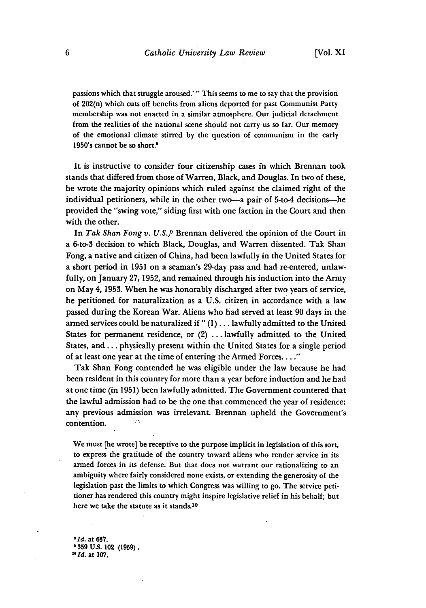passions which that struggle aroused.' "This seems to me to say that the provision of 202(n) which cuts off benefits from aliens deported for past Communist Party membership was not enacted in a similar atmosphere. Our judicial detachment from the realities of the national scene should not carry us so far. Our memory of the emotional climate stirred **by** the question of communism in the early 1950's cannot be so short.'

It is instructive to consider four citizenship cases in which Brennan took stands that differed from those of Warren, Black, and Douglas. In two of these, he wrote the majority opinions which ruled against the claimed right of the individual petitioners, while in the other two-a pair of 5-to-4 decisions--he provided the "swing vote," siding first with one faction in the Court and then with the other.

In *Tak Shan Fong v. U.S.,9* Brennan delivered the opinion of the Court in a 6-to-3 decision to which Black, Douglas, and Warren dissented. Tak Shan Fong, a native and citizen of China, had been lawfully in the United States for a short period in **1951** on a seaman's 29-day pass and had re-entered, unlawfully, on January **27, 1952,** and remained through his induction into the Army on May 4, **1953.** When he was honorably discharged after two years of service, he petitioned for naturalization as a U.S. citizen in accordance with a law passed during the Korean War. Aliens who had served at least **90** days in the armed services could be naturalized if" (1) ... lawfully admitted to the United States for permanent residence, or (2) ... lawfully admitted to the United States, and.., physically present within the United States for a single period of at least one year at the time of entering the Armed Forces **.. "**

Tak Shan Fong contended he was eligible under the law because he had been resident in this country for more than a year before induction and he had at one time (in **1951)** been lawfully admitted. The Government countered that the lawful admission had to be the one that commenced the year of residence; any previous admission was irrelevant. Brennan upheld the Government's contention.  $\sim$ 

We must [he wrote] be receptive to the purpose implicit in legislation of this sort, to express the gratitude of the country toward aliens who render service in its armed forces in its defense. But that does not warrant our rationalizing to an ambiguity where fairly considered none exists, or extending the generosity of the legislation past the limits to which Congress was willing to go. The service petitioner has rendered this country might inspire legislative relief in his behalf; but here we take the statute as it stands.10

*8 Id.* at **637. - 359 US.** 102 **(1959).** *'Old.* at **107.**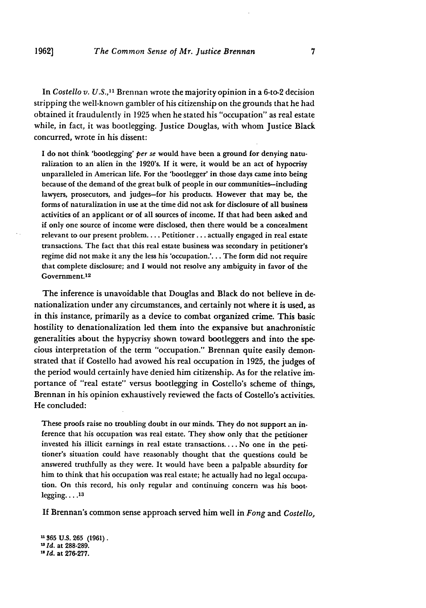In *Costello v. U.S.,"1* Brennan wrote the majority opinion in a 6-to-2 decision stripping the well-known gambler of his citizenship on the grounds that he had obtained it fraudulently in 1925 when he stated his "occupation" as real estate while, in fact, it was bootlegging. Justice Douglas, with whom Justice Black concurred, wrote in his dissent:

I do not think 'bootlegging' *per se* would have been a ground for denying naturalization to an alien in the 1920's. **If** it were, it would be an act of hypocrisy unparalleled in American life. For the 'bootlegger' in those days came into being because of the demand of the great bulk of people in our communities-including lawyers, prosecutors, and judges-for his products. However that may be, the forms of naturalization in use at the time did not ask for disclosure of all business activities of an applicant or of all sources of income. If that had been asked and if only one source of income were disclosed, then there would be a concealment relevant to our present problem.... Petitioner **...** actually engaged in real estate transactions. The fact that this real estate business was secondary in petitioner's regime did not make it any the less his 'occupation.'... The form did not require that complete disclosure; and **I** would not resolve any ambiguity in favor of the Government. <sup>12</sup>

The inference is unavoidable that Douglas and Black do not believe in denationalization under any circumstances, and certainly not where it is used, as in this instance, primarily as a device to combat organized crime. This basic hostility to denationalization led them into the expansive but anachronistic generalities about the hypycrisy shown toward bootleggers and into the specious interpretation of the term "occupation." Brennan quite easily demonstrated that if Costello had avowed his real occupation in **1925,** the judges of the period would certainly have denied him citizenship. As for the relative importance of "real estate" versus bootlegging in Costello's scheme of things, Brennan in his opinion exhaustively reviewed the facts of Costello's activities. He concluded:

These proofs raise no troubling doubt in our minds. They do not support an inference that his occupation was real estate. They show only that the petitioner invested his illicit earnings in real estate transactions **....** No one in the petitioner's situation could have reasonably thought that the questions could be answered truthfully as they were. It would have been a palpable absurdity for him to think that his occupation was real estate; he actually had no legal occupation. On this record, his only regular and continuing concern was his boot**legging .... 13**

**If** Brennan's common sense approach served him well in *Fong* and *Costello,*

**- 365 U.s. 265 (1961).** *121d.* at **288-289.** *11 Id.* at **276-277.**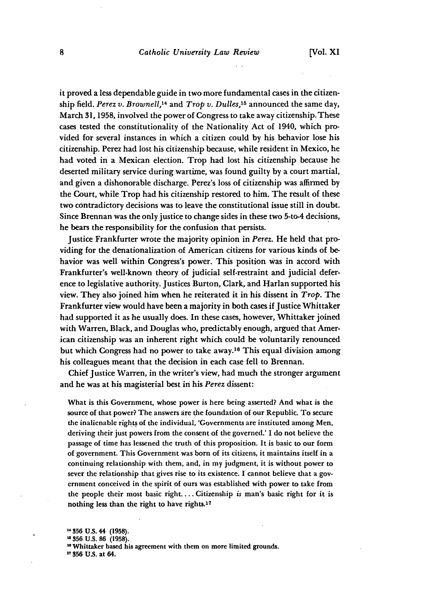it proved a less dependable guide in two more fundamental cases in the citizenship field. *Perez v. Brownell,14* and *Trop v. Dulles,15* announced the same day, March 31, **1958,** involved the power of Congress to take away citizenship.These cases tested the constitutionality of the Nationality Act of 1940, which provided for several instances in which a citizen could by his behavior lose his citizenship. Perez had lost his citizenship because, while resident in Mexico, he had voted in a Mexican election. Trop had lost his citizenship because he deserted military service during wartime, was found guilty by a court martial, and given a dishonorable discharge. Perez's loss of citizenship was affirmed by the Court, while Trop had his citizenship restored to him. The result of these two contradictory decisions was to leave the constitutional issue still in doubt. Since Brennan was the only justice to change sides in these two 5-to-4 decisions, he bears the responsibility for the confusion that persists.

Justice Frankfurter wrote the majority opinion in *Perez.* He held that providing for the denationalization of American citizens for various kinds of behavior was well within Congress's power. This position was in accord with Frankfurter's well-known theory of judicial self-restraint and judicial deference to legislative authority. Justices Burton, Clark, and Harlan supported his view. They also joined him when he reiterated it in his dissent in *Trop.* The Frankfurter view would have been a majority in both cases if Justice Whittaker had supported it as he usually does. In these cases, however, Whittaker joined with Warren, Black, and Douglas who, predictably enough, argued that American citizenship was an inherent right which could be voluntarily renounced but which Congress had no power to take away.16 This equal division among his colleagues meant that the decision in each case fell to Brennan.

Chief Justice Warren, in the writer's view, had much the stronger argument and he was at his magisterial best in his *Perez* dissent:

What is this Government, whose power is here being asserted? And what is the source of that power? The answers are the foundation of our Republic. To secure the inalienable rights of the individual, 'Governments are instituted among Men, deriving their just powers from the consent of the governed.' I do not believe the passage of time has lessened the truth of this proposition. It is basic to our form of government. This Government was born of its citizens, it maintains itself in a continuing relationship with them, and, in my judgment, it is without power to sever the relationship that gives rise to its existence. **I** cannot believe that a government conceived in the spirit of ours was established with power to take from the people their most basic right.... Citizenship *is* man's basic right for it is nothing less than the right to have rights.<sup>17</sup>

**356 U.S.** 44 **(1958).**

**11 356 US.** at 64.

<sup>&</sup>lt;sup>15</sup> 356 U.S. 86 (1958).

Whittaker based his agreement with them on more limited grounds.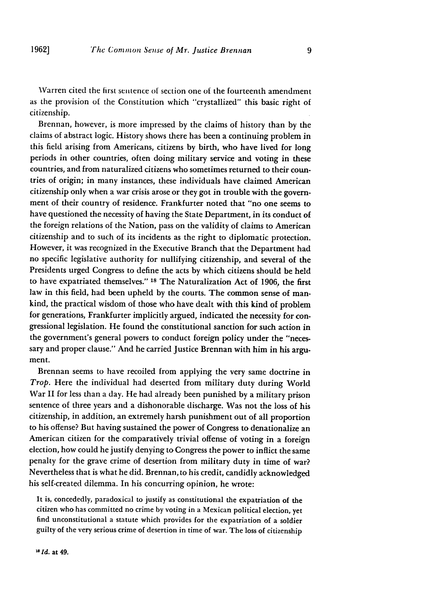Warren cited the first sentence of section one of the fourteenth amendment as the provision of the Constitution which "crystallized" this basic right of citizenship.

Brennan, however, is more impressed by the claims of history than by the claims of abstract logic. History shows there has been a continuing problem in this field arising from Americans, citizens by birth, who have lived for long periods in other countries, often doing military service and voting in these countries, and from naturalized citizens who sometimes returned to their countries of origin; in many instances, these individuals have claimed American citizenship only when a war crisis arose or they got in trouble with the government of their country of residence. Frankfurter noted that "no one seems to have questioned the necessity of having the State Department, in its conduct of the foreign relations of the Nation, pass on the validity of claims to American citizenship and to such of its incidents as the right to diplomatic protection. However, it was recognized in the Executive Branch that the Department had no specific legislative authority for nullifying citizenship, and several of the Presidents urged Congress to define the acts by which citizens should be held to have expatriated themselves." **18** The Naturalization Act of 1906, the first law in this field, had been upheld by the courts. The common sense of mankind, the practical wisdom of those who have dealt with this kind of problem for generations, Frankfurter implicitly argued, indicated the necessity for congressional legislation. He found the constitutional sanction for such action in the government's general powers to conduct foreign policy under the "necessary and proper clause." And he carried Justice Brennan with him in his argument.

Brennan seems to have recoiled from applying the very same doctrine in *Trop.* Here the individual had deserted from military duty during World War II for less than a day. He had already been punished by a military prison sentence of three years and a dishonorable discharge. Was not the loss of his citizenship, in addition, an extremely harsh punishment out of all proportion to his offense? But having sustained the power of Congress to denationalize an American citizen for the comparatively trivial offense of voting in a foreign election, how could he justify denying to Congress the power to inflict the same penalty for the grave crime of desertion from military duty in time of war? Nevertheless that is what he did. Brennan, to his credit, candidly acknowledged his self-created dilemma. In his concurring opinion, he wrote:

It is, concededly, paradoxical to justify as constitutional the expatriation of the citizen who has committed no crime by voting in a Mexican political election, yet find unconstitutional a statute which provides for the expatriation of a soldier guilty of the very serious crime of desertion in time of war. The loss of citizenship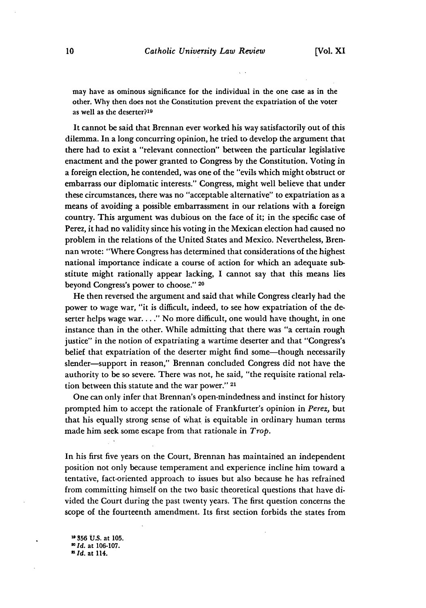may have as ominous significance for the individual in the one case as in the other. Why then does not the Constitution prevent the expatriation of the voter as well as the deserter?<sup>19</sup>

It cannot be said that Brennan ever worked his way satisfactorily out of this dilemma. In a long concurring opinion, he tried to develop the argument that there had to exist a "relevant connection" between the particular legislative enactment and the power granted to Congress by the Constitution. Voting in a foreign election, he contended, was one of the "evils which might obstruct or embarrass our diplomatic interests." Congress, might well believe that under these circumstances, there was no "acceptable alternative" to expatriation as a means of avoiding a possible embarrassment in our relations with a foreign country. This argument was dubious on the face of it; in the specific case of Perez, it had no validity since his voting in the Mexican election had caused no problem in the relations of the United States and Mexico. Nevertheless, Brennan wrote: "Where Congress has determined that considerations of the highest national importance indicate a course of action for which an adequate substitute might rationally appear lacking, I cannot say that this means lies beyond Congress's power to choose." **<sup>20</sup>**

He then reversed the argument and said that while Congress clearly had the power to wage war, "it is difficult, indeed, to see how expatriation of the deserter helps wage war...." No more difficult, one would have thought, in one instance than in the other. While admitting that there was "a certain rough justice" in the notion of expatriating a wartime deserter and that "Congress's belief that expatriation of the deserter might find some—though necessarily slender-support in reason," Brennan concluded Congress did not have the authority to be so severe. There was not, he said, "the requisite rational relation between this statute and the war power." **21**

One can only infer that Brennan's open-mindedness and instinct for history prompted him to accept the rationale of Frankfurter's opinion in *Perez,* but that his equally strong sense of what is equitable in ordinary human terms made him seek some escape from that rationale in *Trop.*

In his first five years on the Court, Brennan has maintained an independent position not only because temperament and experience incline him toward a tentative, fact-oriented approach to issues but also because he has refrained from committing himself on the two basic theoretical questions that have divided the Court during the past twenty years. The first question concerns the scope of the fourteenth amendment. Its first section forbids the states from

**356 U.S.** at **105.** *0 Id.* at **106-107.** *a Id.* at **114.**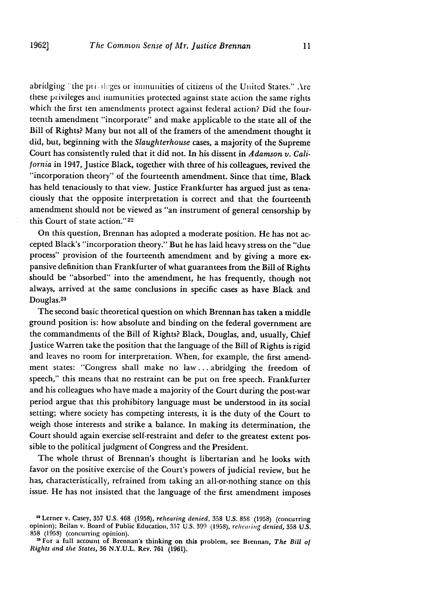abridging "the priologes or immunities of citizens of the United States." Are these privileges and immunities protected against state action the same rights which the first ten amendments protect against federal action? Did the fourteenth amendment "incorporate" and make applicable to the state all of the Bill of Rights? Many but not all of the framers of the amendment thought it did, but, beginning with the *Slaughterhouse* cases, a majority of the Supreme Court has consistently ruled that it did not. In his dissent in *Adamson v. California* in 1947, Justice Black, together with three of his colleagues, revived the "incorporation theory" of the fourteenth amendment. Since that time, Black has held tenaciously to that view. Justice Frankfurter has argued just as tenaciously that the opposite interpretation is correct and that the fourteenth amendment should not be viewed as "an instrument of general censorship by this Court of state action."<sup>22</sup>

On this question, Brennan has adopted a moderate position. He has not accepted Black's "incorporation theory." But he has laid heavy stress on the "due process" provision of the fourteenth amendment and by giving a more expansive definition than Frankfurter of what guarantees from the Bill of Rights should be "absorbed" into the amendment, he has frequently, though not always, arrived at the same conclusions in specific cases as have Black and Douglas.<sup>23</sup>

The second basic theoretical question on which Brennan has taken a middle ground position is: how absolute and binding on the federal government are the commandments of the Bill of Rights? Black, Douglas, and, usually, Chief Justice Warren take the position that the language of the Bill of Rights is rigid and leaves no room for interpretation. When, for example, the first amendment states: "Congress shall make no law **...** abridging the freedom of speech," this means that no restraint can be put on free speech. Frankfurter and his colleagues who have made a majority of the Court during the post-war period argue that this prohibitory language must be understood in its social setting; where society has competing interests, it is the duty of the Court to weigh those interests and strike a balance. In making its determination, the Court should again exercise self-restraint and defer to the greatest extent possible to the political judgment of Congress and the President.

The whole thrust of Brennan's thought is libertarian and he looks with favor on the positive exercise of the Court's powers of judicial review, but he has, characteristically, refrained from taking an all-or-nothing stance on this issue. He has not insisted that the language of the first amendment imposes

<sup>21</sup>Lerner v. Casey, **357** U.S. 468 (1958), *rehearing denied,* 358 U.S. 858 (1958) (concurring opinion); Beilan v. Board of Public Education, 357 U.S. 399 (1958), *rehcaiing denied,* 358 U.S. 858 (1958) (concurring opinion).

<sup>2&#</sup>x27; For a full account of Brennan's thinking on this problem, see Brennan, *The Bill of Rights and the States,* 36 N.Y.U.L. Rev. 761 (1961).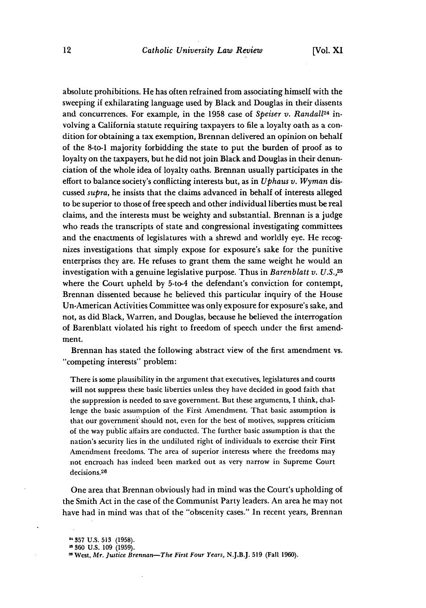absolute prohibitions. He has often refrained from associating himself with the sweeping if exhilarating language used by Black and Douglas in their dissents and concurrences. For example, in the 1958 case of *Speiser v. Randall24* involving a California statute requiring taxpayers to file a loyalty oath as a condition for obtaining a tax exemption, Brennan delivered an opinion on behalf of the 8-to-1 majority forbidding the state to put the burden of proof as to loyalty on the taxpayers, but he did not join Black and Douglas in their denunciation of the whole idea of loyalty oaths. Brennan usually participates in the effort to balance society's conflicting interests but, as in *Uphaus v. Wyman* discussed *supra,* he insists that the claims advanced in behalf of interests alleged to be superior to those of free speech and other individual liberties must be real claims, and the interests must be weighty and substantial. Brennan is a judge who reads the transcripts of state and congressional investigating committees and the enactments of legislatures with a shrewd and worldly eye. He recognizes investigations that simply expose for exposure's sake for the punitive enterprises they are. He refuses to grant them the same weight he would an investigation with a genuine legislative purpose. Thus in *Barenblatt v. U.S.,25* where the Court upheld by 5-to-4 the defendant's conviction for contempt, Brennan dissented because he believed this particular inquiry of the House Un-American Activities Committee was only exposure for exposure's sake, and not, as did Black, Warren, and Douglas, because he believed the interrogation of Barenblatt violated his right to freedom of speech under the first amendment.

Brennan has stated the following abstract view of the first amendment vs. "competing interests" problem:

There is some plausibility in the argument that executives, legislatures and courts will not suppress these basic liberties unless they have decided in good faith that the suppression is needed to save government. But these arguments, I think, challenge the basic assumption of the First Amendment. That basic assumption is that our government'should not, even for the best of motives, suppress criticism of the way public affairs are conducted. The further basic assumption is that the nation's security lies in the undiluted right of individuals to exercise their First Amendment freedoms. The area of superior interests where the freedoms may not encroach has indeed been marked out as very narrow in Supreme Court decisions.<sup>26</sup>

One area that Brennan obviously had in mind was the Court's upholding of the Smith Act in the case of the Communist Party leaders. An area he may not have had in mind was that of the "obscenity cases." In recent years, Brennan

**<sup>,357</sup> U.S. 513** (1958).

**<sup>360</sup>** U.S. 109 (1959).

West, *Mr. Justice Brennan-The First Four Years,* N.J.B.J. 519 (Fall 1960).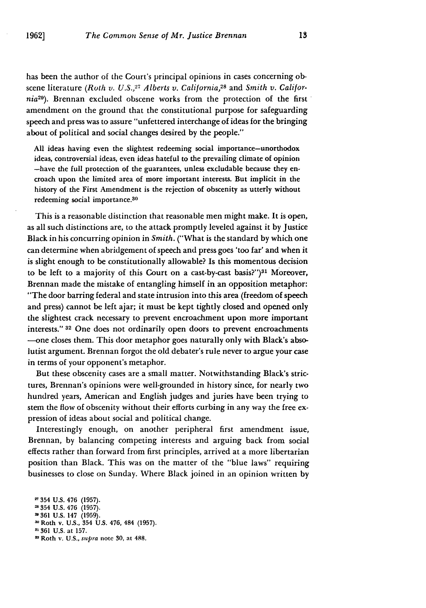has been the author of the Court's principal opinions in cases concerning obscene literature (Roth v. U.S.,<sup>27</sup> Alberts v. California,<sup>28</sup> and *Smith v. California29).* Brennan excluded obscene works from the protection of the first amendment on the ground that the constitutional purpose for safeguarding speech and press was to assure "unfettered interchange of ideas for the bringing about of political and social changes desired by the people."

All ideas having even the slightest redeeming social importance-unorthodox ideas, controversial ideas, even ideas hateful to the prevailing climate of opinion -have the full protection of the guarantees, unless excludable because they encroach upon the limited area of more important interests. But implicit in the history of the First Amendment is the rejection of obscenity as utterly without redeeming social importance.<sup>30</sup>

This is a reasonable distinction that reasonable men might make. It is open, as all such distinctions are, to the attack promptly leveled against it by Justice Black in his concurring opinion in *Smith.* ("What is the standard by which one can determine when abridgement of speech and press goes 'too far' and when it is slight enough to be constitutionally allowable? Is this momentous decision to be left to a majority of this Court on a cast-by-cast basis?") $31$  Moreover, Brennan made the mistake of entangling himself in an opposition metaphor: "The door barring federal and state intrusion into this area (freedom of speech and press) cannot be left ajar; it must be kept tightly closed and opened only the slightest crack necessary to prevent encroachment upon more important interests." **32** One does not ordinarily open doors to prevent encroachments -one closes them. This door metaphor goes naturally only with Black's absolutist argument. Brennan forgot the old debater's rule never to argue your case in terms of your opponent's metaphor.

But these obscenity cases are a small matter. Notwithstanding Black's strictures, Brennan's opinions were well-grounded in history since, for nearly two hundred years, American and English judges and juries have been trying to stern the flow of obscenity without their efforts curbing in any way the free expression of ideas about social and political change.

Interestingly enough, on another peripheral first amendment issue, Brennan, by balancing competing interests and arguing back from social effects rather than forward from first principles, arrived at a more libertarian position than Black. This was on the matter of the "blue laws" requiring businesses to close on Sunday. Where Black joined in an opinion written by

**-** 354 **U.S.** 476 **(1957).** 354 **U.S.** 476 **(1957). -361 U.S.** 147 **(1959).** ' Roth v. **U.S.,** 354 **U.S.** 476, 484 **(1957). 11 361 U.S.** at **157. <sup>32</sup>**Roth **v. U.S., supra** note **30,** at **488.**